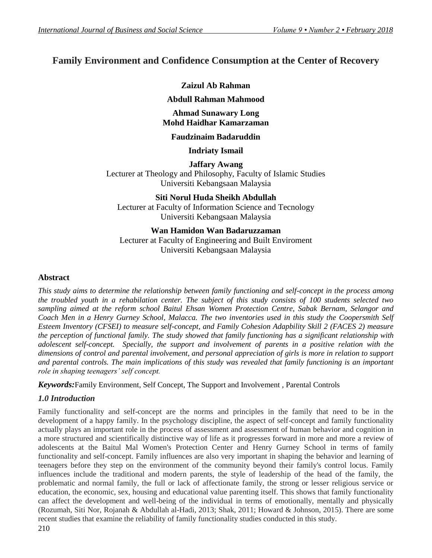# **Family Environment and Confidence Consumption at the Center of Recovery**

# **Zaizul Ab Rahman**

## **Abdull Rahman Mahmood**

### **Ahmad Sunawary Long Mohd Haidhar Kamarzaman**

### **Faudzinaim Badaruddin**

### **Indriaty Ismail**

**Jaffary Awang** Lecturer at Theology and Philosophy, Faculty of Islamic Studies Universiti Kebangsaan Malaysia

**Siti Norul Huda Sheikh Abdullah** Lecturer at Faculty of Information Science and Tecnology Universiti Kebangsaan Malaysia

### **Wan Hamidon Wan Badaruzzaman**

Lecturer at Faculty of Engineering and Built Enviroment Universiti Kebangsaan Malaysia

#### **Abstract**

*This study aims to determine the relationship between family functioning and self-concept in the process among the troubled youth in a rehabilation center. The subject of this study consists of 100 students selected two sampling aimed at the reform school Baitul Ehsan Women Protection Centre, Sabak Bernam, Selangor and Coach Men in a Henry Gurney School, Malacca. The two inventories used in this study the Coopersmith Self Esteem Inventory (CFSEI) to measure self-concept, and Family Cohesion Adapbility Skill 2 (FACES 2) measure the perception of functional family. The study showed that family functioning has a significant relationship with adolescent self-concept. Specially, the support and involvement of parents in a positive relation with the dimensions of control and parental involvement, and personal appreciation of girls is more in relation to support and parental controls. The main implications of this study was revealed that family functioning is an important role in shaping teenagers' self concept.* 

*Keywords:*Family Environment, Self Concept, The Support and Involvement , Parental Controls

#### *1.0 Introduction*

Family functionality and self-concept are the norms and principles in the family that need to be in the development of a happy family. In the psychology discipline, the aspect of self-concept and family functionality actually plays an important role in the process of assessment and assessment of human behavior and cognition in a more structured and scientifically distinctive way of life as it progresses forward in more and more a review of adolescents at the Baitul Mal Women's Protection Center and Henry Gurney School in terms of family functionality and self-concept. Family influences are also very important in shaping the behavior and learning of teenagers before they step on the environment of the community beyond their family's control locus. Family influences include the traditional and modern parents, the style of leadership of the head of the family, the problematic and normal family, the full or lack of affectionate family, the strong or lesser religious service or education, the economic, sex, housing and educational value parenting itself. This shows that family functionality can affect the development and well-being of the individual in terms of emotionally, mentally and physically (Rozumah, Siti Nor, Rojanah & Abdullah al-Hadi, 2013; Shak, 2011; Howard & Johnson, 2015). There are some recent studies that examine the reliability of family functionality studies conducted in this study.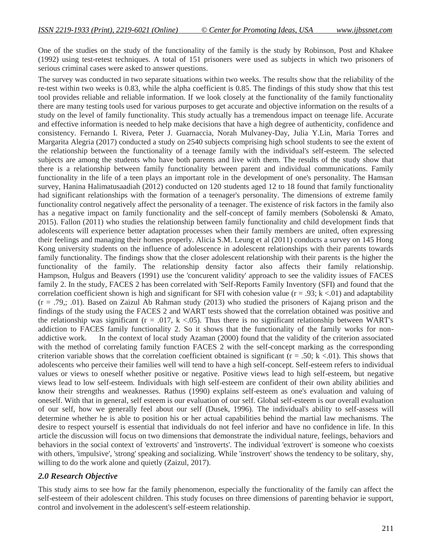One of the studies on the study of the functionality of the family is the study by Robinson, Post and Khakee (1992) using test-retest techniques. A total of 151 prisoners were used as subjects in which two prisoners of serious criminal cases were asked to answer questions.

The survey was conducted in two separate situations within two weeks. The results show that the reliability of the re-test within two weeks is 0.83, while the alpha coefficient is 0.85. The findings of this study show that this test tool provides reliable and reliable information. If we look closely at the functionality of the family functionality there are many testing tools used for various purposes to get accurate and objective information on the results of a study on the level of family functionality. This study actually has a tremendous impact on teenage life. Accurate and effective information is needed to help make decisions that have a high degree of authenticity, confidence and consistency. Fernando I. Rivera, Peter J. Guarnaccia, Norah Mulvaney-Day, Julia Y.Lin, Maria Torres and Margarita Alegria (2017) conducted a study on 2540 subjects comprising high school students to see the extent of the relationship between the functionality of a teenage family with the individual's self-esteem. The selected subjects are among the students who have both parents and live with them. The results of the study show that there is a relationship between family functionality between parent and individual communications. Family functionality in the life of a teen plays an important role in the development of one's personality. The Hamsan survey, Hanina Halimatusaadiah (2012) conducted on 120 students aged 12 to 18 found that family functionality had significant relationships with the formation of a teenager's personality. The dimensions of extreme family functionality control negatively affect the personality of a teenager. The existence of risk factors in the family also has a negative impact on family functionality and the self-concept of family members (Sobolenski & Amato, 2015). Fallon (2011) who studies the relationship between family functionality and child development finds that adolescents will experience better adaptation processes when their family members are united, often expressing their feelings and managing their homes properly. Alicia S.M. Leung et al (2011) conducts a survey on 145 Hong Kong university students on the influence of adolescence in adolescent relationships with their parents towards family functionality. The findings show that the closer adolescent relationship with their parents is the higher the functionality of the family. The relationship density factor also affects their family relationship. Hampson, Hulgus and Beavers (1991) use the 'concurent validity' approach to see the validity issues of FACES family 2. In the study, FACES 2 has been correlated with 'Self-Reports Family Inventory (SFI) and found that the correlation coefficient shown is high and significant for SFI with cohesion value ( $r = .93$ ;  $k < .01$ ) and adaptability  $(r = .79, ; .01)$ . Based on Zaizul Ab Rahman study (2013) who studied the prisoners of Kajang prison and the findings of the study using the FACES 2 and WART tests showed that the correlation obtained was positive and the relationship was significant ( $r = .017$ ,  $k < .05$ ). Thus there is no significant relationship between WART's addiction to FACES family functionality 2. So it shows that the functionality of the family works for nonaddictive work. In the context of local study Azaman (2000) found that the validity of the criterion associated with the method of correlating family function FACES 2 with the self-concept marking as the corresponding criterion variable shows that the correlation coefficient obtained is significant ( $r = .50$ ; k <.01). This shows that adolescents who perceive their families well will tend to have a high self-concept. Self-esteem refers to individual values or views to oneself whether positive or negative. Positive views lead to high self-esteem, but negative views lead to low self-esteem. Individuals with high self-esteem are confident of their own ability abilities and know their strengths and weaknesses. Rathus (1990) explains self-esteem as one's evaluation and valuing of oneself. With that in general, self esteem is our evaluation of our self. Global self-esteem is our overall evaluation of our self, how we generally feel about our self (Dusek, 1996). The individual's ability to self-assess will determine whether he is able to position his or her actual capabilities behind the martial law mechanisms. The desire to respect yourself is essential that individuals do not feel inferior and have no confidence in life. In this article the discussion will focus on two dimensions that demonstrate the individual nature, feelings, behaviors and behaviors in the social context of 'extroverts' and 'instroverts'. The individual 'extrovert' is someone who coexists with others, 'impulsive', 'strong' speaking and socializing. While 'instrovert' shows the tendency to be solitary, shy, willing to do the work alone and quietly (Zaizul, 2017).

#### *2.0 Research Objective*

This study aims to see how far the family phenomenon, especially the functionality of the family can affect the self-esteem of their adolescent children. This study focuses on three dimensions of parenting behavior ie support, control and involvement in the adolescent's self-esteem relationship.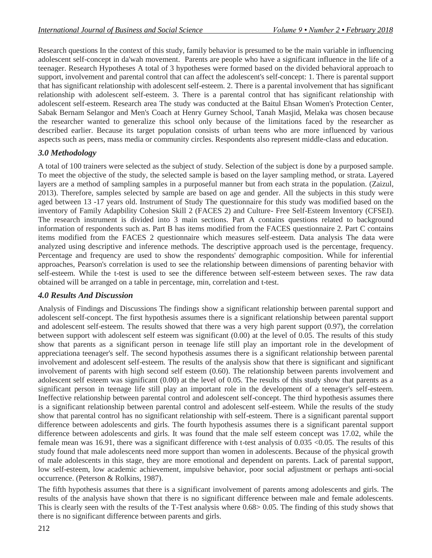Research questions In the context of this study, family behavior is presumed to be the main variable in influencing adolescent self-concept in da'wah movement. Parents are people who have a significant influence in the life of a teenager. Research Hypotheses A total of 3 hypotheses were formed based on the divided behavioral approach to support, involvement and parental control that can affect the adolescent's self-concept: 1. There is parental support that has significant relationship with adolescent self-esteem. 2. There is a parental involvement that has significant relationship with adolescent self-esteem. 3. There is a parental control that has significant relationship with adolescent self-esteem. Research area The study was conducted at the Baitul Ehsan Women's Protection Center, Sabak Bernam Selangor and Men's Coach at Henry Gurney School, Tanah Masjid, Melaka was chosen because the researcher wanted to generalize this school only because of the limitations faced by the researcher as described earlier. Because its target population consists of urban teens who are more influenced by various aspects such as peers, mass media or community circles. Respondents also represent middle-class and education.

#### *3.0 Methodology*

A total of 100 trainers were selected as the subject of study. Selection of the subject is done by a purposed sample. To meet the objective of the study, the selected sample is based on the layer sampling method, or strata. Layered layers are a method of sampling samples in a purposeful manner but from each strata in the population. (Zaizul, 2013). Therefore, samples selected by sample are based on age and gender. All the subjects in this study were aged between 13 -17 years old. Instrument of Study The questionnaire for this study was modified based on the inventory of Family Adapbility Cohesion Skill 2 (FACES 2) and Culture- Free Self-Esteem Inventory (CFSEI). The research instrument is divided into 3 main sections. Part A contains questions related to background information of respondents such as. Part B has items modified from the FACES questionnaire 2. Part C contains items modified from the FACES 2 questionnaire which measures self-esteem. Data analysis The data were analyzed using descriptive and inference methods. The descriptive approach used is the percentage, frequency. Percentage and frequency are used to show the respondents' demographic composition. While for inferential approaches, Pearson's correlation is used to see the relationship between dimensions of parenting behavior with self-esteem. While the t-test is used to see the difference between self-esteem between sexes. The raw data obtained will be arranged on a table in percentage, min, correlation and t-test.

#### *4.0 Results And Discussion*

Analysis of Findings and Discussions The findings show a significant relationship between parental support and adolescent self-concept. The first hypothesis assumes there is a significant relationship between parental support and adolescent self-esteem. The results showed that there was a very high parent support (0.97), the correlation between support with adolescent self esteem was significant (0.00) at the level of 0.05. The results of this study show that parents as a significant person in teenage life still play an important role in the development of appreciationa teenager's self. The second hypothesis assumes there is a significant relationship between parental involvement and adolescent self-esteem. The results of the analysis show that there is significant and significant involvement of parents with high second self esteem (0.60). The relationship between parents involvement and adolescent self esteem was significant (0.00) at the level of 0.05. The results of this study show that parents as a significant person in teenage life still play an important role in the development of a teenager's self-esteem. Ineffective relationship between parental control and adolescent self-concept. The third hypothesis assumes there is a significant relationship between parental control and adolescent self-esteem. While the results of the study show that parental control has no significant relationship with self-esteem. There is a significant parental support difference between adolescents and girls. The fourth hypothesis assumes there is a significant parental support difference between adolescents and girls. It was found that the male self esteem concept was 17.02, while the female mean was 16.91, there was a significant difference with t-test analysis of 0.035 <0.05. The results of this study found that male adolescents need more support than women in adolescents. Because of the physical growth of male adolescents in this stage, they are more emotional and dependent on parents. Lack of parental support, low self-esteem, low academic achievement, impulsive behavior, poor social adjustment or perhaps anti-social occurrence. (Peterson & Rolkins, 1987).

The fifth hypothesis assumes that there is a significant involvement of parents among adolescents and girls. The results of the analysis have shown that there is no significant difference between male and female adolescents. This is clearly seen with the results of the T-Test analysis where 0.68> 0.05. The finding of this study shows that there is no significant difference between parents and girls.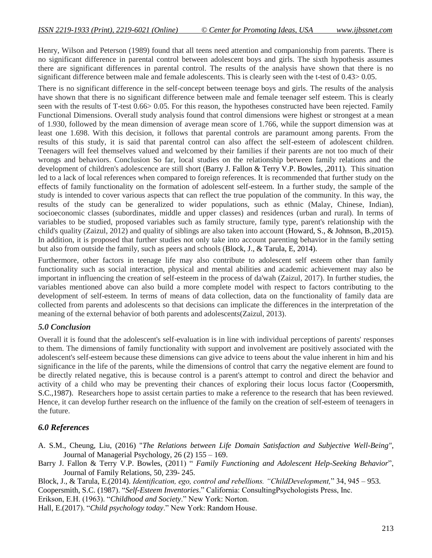Henry, Wilson and Peterson (1989) found that all teens need attention and companionship from parents. There is no significant difference in parental control between adolescent boys and girls. The sixth hypothesis assumes there are significant differences in parental control. The results of the analysis have shown that there is no significant difference between male and female adolescents. This is clearly seen with the t-test of 0.43> 0.05.

There is no significant difference in the self-concept between teenage boys and girls. The results of the analysis have shown that there is no significant difference between male and female teenager self esteem. This is clearly seen with the results of T-test 0.66> 0.05. For this reason, the hypotheses constructed have been rejected. Family Functional Dimensions. Overall study analysis found that control dimensions were highest or strongest at a mean of 1.930, followed by the mean dimension of average mean score of 1.766, while the support dimension was at least one 1.698. With this decision, it follows that parental controls are paramount among parents. From the results of this study, it is said that parental control can also affect the self-esteem of adolescent children. Teenagers will feel themselves valued and welcomed by their families if their parents are not too much of their wrongs and behaviors. Conclusion So far, local studies on the relationship between family relations and the development of children's adolescence are still short (Barry J. Fallon & Terry V.P. Bowles, ,2011). This situation led to a lack of local references when compared to foreign references. It is recommended that further study on the effects of family functionality on the formation of adolescent self-esteem. In a further study, the sample of the study is intended to cover various aspects that can reflect the true population of the community. In this way, the results of the study can be generalized to wider populations, such as ethnic (Malay, Chinese, Indian), socioeconomic classes (subordinates, middle and upper classes) and residences (urban and rural). In terms of variables to be studied, proposed variables such as family structure, family type, parent's relationship with the child's quality (Zaizul, 2012) and quality of siblings are also taken into account (Howard, S., & Johnson, B.,2015). In addition, it is proposed that further studies not only take into account parenting behavior in the family setting but also from outside the family, such as peers and schools (Block, J., & Tarula, E, 2014).

Furthermore, other factors in teenage life may also contribute to adolescent self esteem other than family functionality such as social interaction, physical and mental abilities and academic achievement may also be important in influencing the creation of self-esteem in the process of da'wah (Zaizul, 2017). In further studies, the variables mentioned above can also build a more complete model with respect to factors contributing to the development of self-esteem. In terms of means of data collection, data on the functionality of family data are collected from parents and adolescents so that decisions can implicate the differences in the interpretation of the meaning of the external behavior of both parents and adolescents(Zaizul, 2013).

#### *5.0 Conclusion*

Overall it is found that the adolescent's self-evaluation is in line with individual perceptions of parents' responses to them. The dimensions of family functionality with support and involvement are positively associated with the adolescent's self-esteem because these dimensions can give advice to teens about the value inherent in him and his significance in the life of the parents, while the dimensions of control that carry the negative element are found to be directly related negative, this is because control is a parent's attempt to control and direct the behavior and activity of a child who may be preventing their chances of exploring their locus locus factor (Coopersmith, S.C.,1987). Researchers hope to assist certain parties to make a reference to the research that has been reviewed. Hence, it can develop further research on the influence of the family on the creation of self-esteem of teenagers in the future.

#### *6.0 References*

- A. S.M., Cheung, Liu, (2016) "*The Relations between Life Domain Satisfaction and Subjective Well-Being"*, Journal of Managerial Psychology, 26 (2) 155 – 169.
- Barry J. Fallon & Terry V.P. Bowles, (2011) " *Family Functioning and Adolescent Help-Seeking Behavior*", Journal of Family Relations, 50, 239- 245.
- Block, J., & Tarula, E.(2014). *Identification, ego, control and rebellions. "ChildDevelopment,*" 34, 945 953.

Coopersmith, S.C. (1987). "*Self-Esteem Inventories*." California: ConsultingPsychologists Press, Inc.

Erikson, E.H. (1963). "*Childhood and Society*." New York: Norton.

Hall, E.(2017). "*Child psychology today*." New York: Random House.